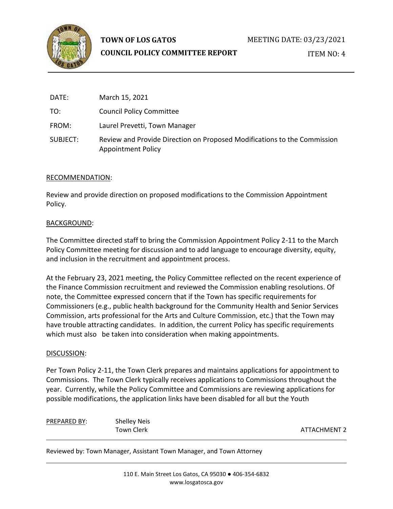

# **TOWN OF LOS GATOS**

## **COUNCIL POLICY COMMITTEE REPORT**

ITEM NO: 4

| DATE:    | March 15, 2021                                                                                        |
|----------|-------------------------------------------------------------------------------------------------------|
| TO:      | <b>Council Policy Committee</b>                                                                       |
| FROM:    | Laurel Prevetti, Town Manager                                                                         |
| SUBJECT: | Review and Provide Direction on Proposed Modifications to the Commission<br><b>Appointment Policy</b> |

## RECOMMENDATION:

Review and provide direction on proposed modifications to the Commission Appointment Policy.

## BACKGROUND:

The Committee directed staff to bring the Commission Appointment Policy 2-11 to the March Policy Committee meeting for discussion and to add language to encourage diversity, equity, and inclusion in the recruitment and appointment process.

At the February 23, 2021 meeting, the Policy Committee reflected on the recent experience of the Finance Commission recruitment and reviewed the Commission enabling resolutions. Of note, the Committee expressed concern that if the Town has specific requirements for Commissioners (e.g., public health background for the Community Health and Senior Services Commission, arts professional for the Arts and Culture Commission, etc.) that the Town may have trouble attracting candidates. In addition, the current Policy has specific requirements which must also be taken into consideration when making appointments.

## DISCUSSION:

Per Town Policy 2-11, the Town Clerk prepares and maintains applications for appointment to Commissions. The Town Clerk typically receives applications to Commissions throughout the year. Currently, while the Policy Committee and Commissions are reviewing applications for possible modifications, the application links have been disabled for all but the Youth

PREPARED BY: Shelley Neis

Town Clerk ATTACHMENT 2

Reviewed by: Town Manager, Assistant Town Manager, and Town Attorney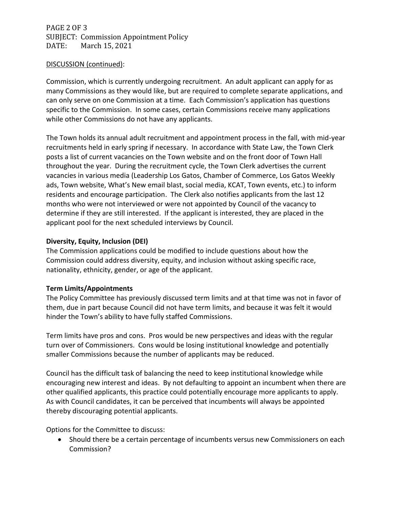PAGE 2 OF 3 SUBJECT: Commission Appointment Policy DATE: March 15, 2021

## DISCUSSION (continued):

Commission, which is currently undergoing recruitment. An adult applicant can apply for as many Commissions as they would like, but are required to complete separate applications, and can only serve on one Commission at a time. Each Commission's application has questions specific to the Commission. In some cases, certain Commissions receive many applications while other Commissions do not have any applicants.

The Town holds its annual adult recruitment and appointment process in the fall, with mid-year recruitments held in early spring if necessary. In accordance with State Law, the Town Clerk posts a list of current vacancies on the Town website and on the front door of Town Hall throughout the year. During the recruitment cycle, the Town Clerk advertises the current vacancies in various media (Leadership Los Gatos, Chamber of Commerce, Los Gatos Weekly ads, Town website, What's New email blast, social media, KCAT, Town events, etc.) to inform residents and encourage participation. The Clerk also notifies applicants from the last 12 months who were not interviewed or were not appointed by Council of the vacancy to determine if they are still interested. If the applicant is interested, they are placed in the applicant pool for the next scheduled interviews by Council.

## **Diversity, Equity, Inclusion (DEI)**

The Commission applications could be modified to include questions about how the Commission could address diversity, equity, and inclusion without asking specific race, nationality, ethnicity, gender, or age of the applicant.

#### **Term Limits/Appointments**

The Policy Committee has previously discussed term limits and at that time was not in favor of them, due in part because Council did not have term limits, and because it was felt it would hinder the Town's ability to have fully staffed Commissions.

Term limits have pros and cons. Pros would be new perspectives and ideas with the regular turn over of Commissioners. Cons would be losing institutional knowledge and potentially smaller Commissions because the number of applicants may be reduced.

Council has the difficult task of balancing the need to keep institutional knowledge while encouraging new interest and ideas. By not defaulting to appoint an incumbent when there are other qualified applicants, this practice could potentially encourage more applicants to apply. As with Council candidates, it can be perceived that incumbents will always be appointed thereby discouraging potential applicants.

Options for the Committee to discuss:

• Should there be a certain percentage of incumbents versus new Commissioners on each Commission?